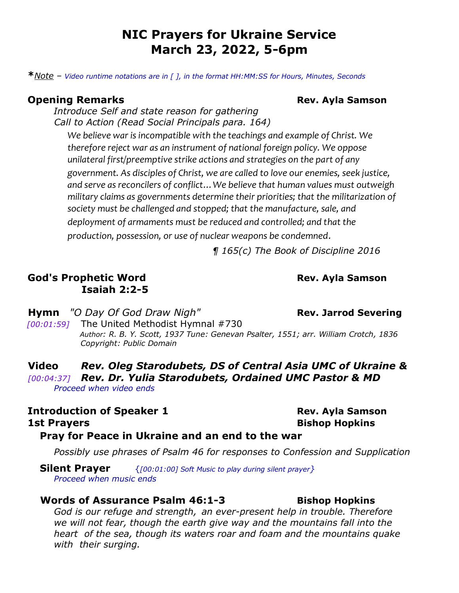# **NIC Prayers for Ukraine Service March 23, 2022, 5-6pm**

**\****Note – Video runtime notations are in [ ], in the format HH:MM:SS for Hours, Minutes, Seconds*

## **Opening Remarks Constants and School School School School School School School School School School School School School School School School School School School School School School School School School School School**

*Introduce Self and state reason for gathering Call to Action (Read Social Principals para. 164)* 

*We believe war is incompatible with the teachings and example of Christ. We therefore reject war as an instrument of national foreign policy. We oppose unilateral first/preemptive strike actions and strategies on the part of any government. As disciples of Christ, we are called to love our enemies, seek justice, and serve as reconcilers of conflict…We believe that human values must outweigh military claims as governments determine their priorities; that the militarization of society must be challenged and stopped; that the manufacture, sale, and deployment of armaments must be reduced and controlled; and that the production, possession, or use of nuclear weapons be condemned.* 

*¶ 165(c) The Book of Discipline 2016* 

# **God's Prophetic Word Rev. Ayla Samson Isaiah 2:2-5**

**Hymn** "O Day Of God Draw Nigh" **Rev. Jarrod Severing** 

*[00:01:59]* The United Methodist Hymnal #730 *Author: R. B. Y. Scott, 1937 Tune: Genevan Psalter, 1551; arr. William Crotch, 1836 Copyright: Public Domain* 

**Video** *Rev. Oleg Starodubets, DS of Central Asia UMC of Ukraine & [00:04:37] Rev. Dr. Yulia Starodubets, Ordained UMC Pastor & MD Proceed when video ends*

# **Introduction of Speaker 1** *Rev. Ayla Samson* **1st Prayers Bishop Hopkins**

# **Pray for Peace in Ukraine and an end to the war**

*Possibly use phrases of Psalm 46 for responses to Confession and Supplication*

 **Silent Prayer** {*[00:01:00] Soft Music to play during silent prayer} Proceed when music ends*

## **Words of Assurance Psalm 46:1-3** Bishop Hopkins

*God is our refuge and strength,  an ever-present help in trouble. Therefore we will not fear, though the earth give way and the mountains fall into the heart of the sea, though its waters roar and foam and the mountains quake with their surging.*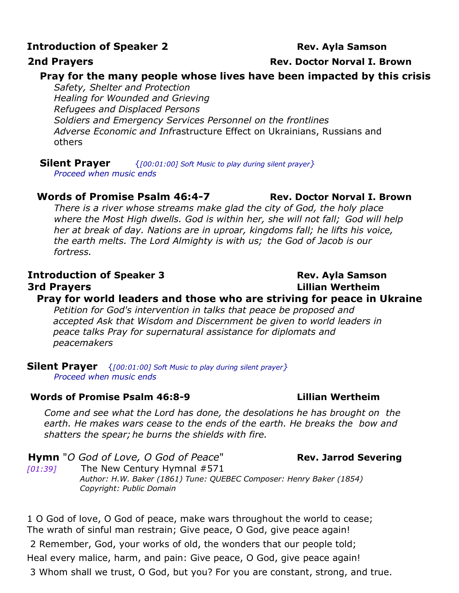# **Introduction of Speaker 2** *Rev. Ayla Samson*

## **Pray for the many people whose lives have been impacted by this crisis**

*Safety, Shelter and Protection Healing for Wounded and Grieving Refugees and Displaced Persons Soldiers and Emergency Services Personnel on the frontlines Adverse Economic and Inf*rastructure Effect on Ukrainians, Russians and others

**Silent Prayer** {*[00:01:00] Soft Music to play during silent prayer}*

*Proceed when music ends*

## **Words of Promise Psalm 46:4-7 Rev. Doctor Norval I. Brown**

*There is a river whose streams make glad the city of God, the holy place where the Most High dwells. God is within her, she will not fall;  God will help her at break of day. Nations are in uproar, kingdoms fall;  he lifts his voice, the earth melts. The Lord Almighty is with us;  the God of Jacob is our fortress.* 

# **Introduction of Speaker 3 Rev. Ayla Samson 3rd Prayers Lillian Wertheim**

# **Pray for world leaders and those who are striving for peace in Ukraine**

*Petition for God's intervention in talks that peace be proposed and accepted Ask that Wisdom and Discernment be given to world leaders in peace talks Pray for supernatural assistance for diplomats and peacemakers* 

**Silent Prayer** {*[00:01:00] Soft Music to play during silent prayer} Proceed when music ends*

## **Words of Promise Psalm 46:8-9 Lillian Wertheim**

*Come and see what the Lord has done, the desolations he has brought on the earth. He makes wars cease to the ends of the earth. He breaks the bow and shatters the spear; he burns the shields with fire.* 

**Hymn** "*O God of Love, O God of Peace*" **Rev. Jarrod Severing** *[01:39]* The New Century Hymnal #571 *Author: H.W. Baker (1861) Tune: QUEBEC Composer: Henry Baker (1854) Copyright: Public Domain*

1 O God of love, O God of peace, make wars throughout the world to cease; The wrath of sinful man restrain; Give peace, O God, give peace again!

2 Remember, God, your works of old, the wonders that our people told;

Heal every malice, harm, and pain: Give peace, O God, give peace again!

3 Whom shall we trust, O God, but you? For you are constant, strong, and true.

# **2nd Prayers Rev. Doctor Norval I. Brown**